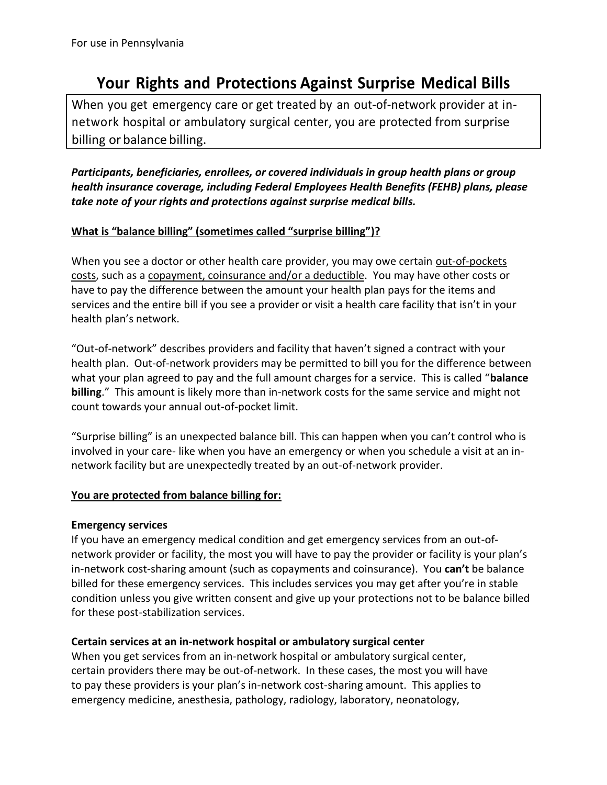# **Your Rights and Protections Against Surprise Medical Bills**

When you get emergency care or get treated by an out-of-network provider at innetwork hospital or ambulatory surgical center, you are protected from surprise billing or balance billing.

*Participants, beneficiaries, enrollees, or covered individuals in group health plans or group health insurance coverage, including Federal Employees Health Benefits (FEHB) plans, please take note of your rights and protections against surprise medical bills.*

## **What is "balance billing" (sometimes called "surprise billing")?**

When you see a doctor or other health care provider, you may owe certain out-of-pockets costs, such as a copayment, coinsurance and/or a deductible. You may have other costs or have to pay the difference between the amount your health plan pays for the items and services and the entire bill if you see a provider or visit a health care facility that isn't in your health plan's network.

"Out-of-network" describes providers and facility that haven't signed a contract with your health plan. Out-of-network providers may be permitted to bill you for the difference between what your plan agreed to pay and the full amount charges for a service. This is called "**balance billing**." This amount is likely more than in-network costs for the same service and might not count towards your annual out-of-pocket limit.

"Surprise billing" is an unexpected balance bill. This can happen when you can't control who is involved in your care- like when you have an emergency or when you schedule a visit at an innetwork facility but are unexpectedly treated by an out-of-network provider.

### **You are protected from balance billing for:**

### **Emergency services**

If you have an emergency medical condition and get emergency services from an out-ofnetwork provider or facility, the most you will have to pay the provider or facility is your plan's in-network cost-sharing amount (such as copayments and coinsurance). You **can't** be balance billed for these emergency services. This includes services you may get after you're in stable condition unless you give written consent and give up your protections not to be balance billed for these post-stabilization services.

### **Certain services at an in-network hospital or ambulatory surgical center**

When you get services from an in-network hospital or ambulatory surgical center, certain providers there may be out-of-network. In these cases, the most you will have to pay these providers is your plan's in-network cost-sharing amount. This applies to emergency medicine, anesthesia, pathology, radiology, laboratory, neonatology,